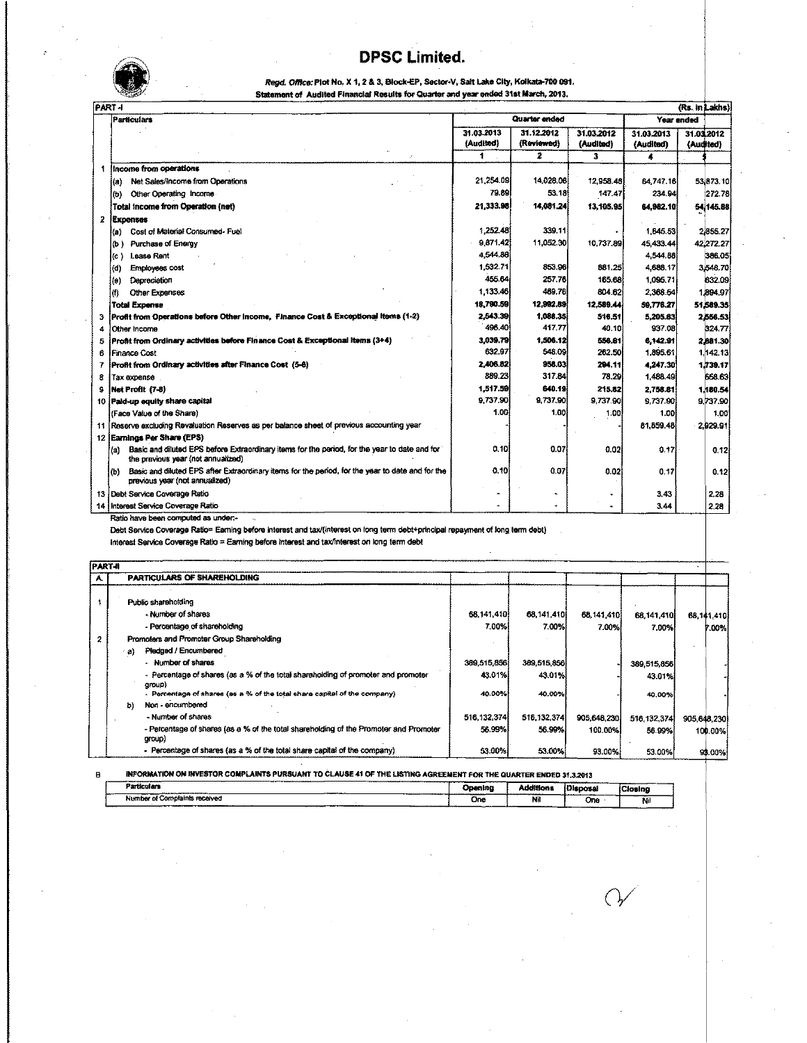## **DPSC Limited .**



|   | <b>DPSC Limited.</b>                                                                                                                       |                         |                          |                         |                         |                         |
|---|--------------------------------------------------------------------------------------------------------------------------------------------|-------------------------|--------------------------|-------------------------|-------------------------|-------------------------|
|   |                                                                                                                                            |                         |                          |                         |                         |                         |
|   | Read, Office: Plot No. X 1, 2 & 3, Block-EP, Sector-V, Salt Lake City, Kolkata-700 091.                                                    |                         |                          |                         |                         |                         |
|   | Statement of Audited Financial Results for Quarter and year ended 31st March, 2013.                                                        |                         |                          |                         |                         |                         |
|   | PART-I<br>Particulars                                                                                                                      |                         | Quarter ended            |                         | Year ended              | (Rs. in Lakhs           |
|   |                                                                                                                                            |                         |                          |                         |                         |                         |
|   |                                                                                                                                            | 31.03.2013<br>(Audited) | 31 12 2012<br>(Reviewed) | 31.03.2012<br>(Audited) | 31.03.2013<br>(Audited) | 31.03.2012<br>(Audited) |
|   |                                                                                                                                            | 1                       | 2                        | 3                       | 4                       |                         |
|   | income from operations                                                                                                                     |                         |                          |                         |                         |                         |
|   | Net Sales/Income from Operations<br>(a)                                                                                                    | 21,254.09               | 14.028.06                | 12.958.48               | 84.747.16               | 53 873.11               |
|   | Other Operating Income<br>(b)                                                                                                              | 79.89                   | 53.18                    | 147.47                  | 234.94                  | 272.7                   |
|   | Total Income from Operation (net)                                                                                                          | 21,333.98               | 14.081.24                | 13,105.95               | 64.982.10               | 54/145.8                |
| 2 | Expenses                                                                                                                                   |                         |                          |                         |                         |                         |
|   | Cost of Material Consumed-Fuel<br>(a)                                                                                                      | 1,252.48                | 339.11                   |                         | 1.645.53                | 2,855.21                |
|   | Purchase of Energy<br>(b )                                                                                                                 | 9,871.42                | 11.052.30                | 10,737.89               | 45.433.44               | 42,272.21               |
|   | Lease Rent<br>(c)                                                                                                                          | 4,544.88                |                          |                         | 4,544.88                | 386.09                  |
|   | Employees cost<br>(d)                                                                                                                      | 1,532.71                | 853.96                   | 881.25                  | 4,688.17                | 3,548.70                |
|   | Depreciation<br>(e)                                                                                                                        | 455.64                  | 257.76                   | 165.68                  | 1.095.71                | 832.09                  |
|   | Other Expenses<br>(f)                                                                                                                      | 1.133.46                | 489.76                   | 804.62                  | 2.368.54                | 1,894.97                |
|   | <b>Total Expense</b>                                                                                                                       | 18,790.59               | 12.992.89                | 12,589.44               | 59,776.27               | 51,589.35               |
| з | Profit from Operations before Other Income, Finance Cost & Exceptional Items (1-2)                                                         | 2.543.39                | 1.088.35                 | 516.51                  | 5,205.83                | 2,666.53                |
| 4 | Other Income                                                                                                                               | 496.40                  | 417.77                   | 40.10                   | 937.08                  | 324.77                  |
| 5 | Profit from Ordinary activities before Finance Cost & Exceptional Items (3+4)                                                              | 3.039.79                | 1.506.12                 | 556.61                  | 6,142.91                | 2,881.30                |
| 6 | <b>Finance Cost</b>                                                                                                                        | 632.97                  | 548.09                   | 262.50                  | 1.895.61                | 1,142.13                |
| 7 | Profit from Ordinary activities after Finance Cost (5-6)                                                                                   | 2,406.82                | 958.03                   | 294.11                  | 4,247.30                | 1,739.17                |
| 8 | Tax expense                                                                                                                                | 889.23                  | 317.84                   | 78.29                   | 1,488.49                | 658.63                  |
| g | Net Profit (7-8)                                                                                                                           | 1,517.59                | 640.19                   | 215.82                  | 2,758.81                | 1,180.54                |
|   | 10 Pald-up equity share capital                                                                                                            | 9,737.90                | 9.737.90                 | 9,737.90                | 9.737.90                | 9,737.90                |
|   | (Face Value of the Share)                                                                                                                  | 1.00                    | 1.00                     | 1.00                    | 1.00                    | 1.00                    |
|   | 11 Reserve excluding Revaluation Reserves as per balance sheet of previous accounting year                                                 |                         |                          |                         | 81,859.48               | 2,929.91                |
|   | 12 Earnings Per Share (EPS)                                                                                                                |                         |                          |                         |                         |                         |
|   | Basic and diluted EPS before Extraordinary items for the period, for the year to date and for<br>(a)<br>the previous year (not annualized) | 0.10                    | 0.07                     | 0.02                    | 0.17                    | 0,12                    |
|   | Basic and diluted EPS after Extraordinary items for the period, for the year to date and for the<br>(b)<br>previous year (not annualized)  | 0.10                    | 0.07                     | 0.02                    | 0.17                    | 0.12                    |
|   | 13 Debt Service Coverage Ratio                                                                                                             |                         |                          |                         | 3.43                    | 2.28                    |
|   | 14 Interest Service Coverage Ratio                                                                                                         |                         |                          |                         | 3.44                    | 2.28                    |

Ratio have been computed as under.· -

Debt Service Coverage Ratio= Eaming before interest and taxI(interest on long term debt+principel repayment of long term debt)

Interest Service Coverage Ratio = Earning before interest and tax/interest on long term debt

| <b>FART-R</b> |      |                                                                                                 |               |             |             |             |             |              |
|---------------|------|-------------------------------------------------------------------------------------------------|---------------|-------------|-------------|-------------|-------------|--------------|
|               |      | <b>PARTICULARS OF SHAREHOLDING</b>                                                              |               |             |             |             |             |              |
|               |      |                                                                                                 |               |             |             |             |             |              |
|               |      | Public shareholding                                                                             |               |             |             |             |             |              |
|               |      | Number of shares                                                                                | 68,141.410    | 68,141,410  | 68.141.410  | 68,141,410  |             | 68, 141, 410 |
|               |      | - Percentage of shareholding                                                                    | 7.00%         | 7.00%       | 7.00%       | 7.00%       |             | 7.00%        |
| 2             |      | Promoters and Promoter Group Shareholding                                                       |               |             |             |             |             |              |
|               | - 83 | Pledged / Encumbered                                                                            |               |             |             |             |             |              |
|               |      | - Number of shares                                                                              | 389.515.856   | 389,515,856 |             | 389.515.856 |             |              |
|               |      | - Percentage of shares (as a % of the total shareholding of promoter and promoter<br>group)     | 43.01%        | 43.01%      |             | 43.01%      |             |              |
|               |      | - Percentage of shares (as a % of the total share capital of the company).                      | 40.00%        | 40.00%      |             | 40.00%      |             |              |
|               | b)   | Non - encumbered                                                                                |               |             |             |             |             |              |
|               |      | - Number of shares                                                                              | 516, 132, 374 | 516,132,374 | 905,648,230 | 516.132,374 | 905,648,230 |              |
|               |      | - Percentage of shares (as a % of the total shareholding of the Promoter and Promoter<br>group) | 56.99%        | 56.99%      | 100.00%     | 56.99%      |             | 100.00%      |
|               |      | - Percentage of shares (as a % of the total share capital of the company)                       | 53.00%        | 53.00%      | 93.00%      | 53.00%      |             | 93.00%       |

|                                                               | INFORMATION ON INVESTOR COMPLAINTS PURSUANT TO CLAUSE 41 OF THE LISTING AGREEMENT FOR THE QUARTER ENDED 31.3.2013<br>---------- |                                     |                 |         |  |
|---------------------------------------------------------------|---------------------------------------------------------------------------------------------------------------------------------|-------------------------------------|-----------------|---------|--|
| Particulars<br>__________<br>--------------------             | Opening<br>_______________<br>-----                                                                                             | <b>Additions</b><br>_______________ | <b>Disposal</b> | Closina |  |
| Number of Complaints received<br><b>BARBARAHAMARAHAMARAHA</b> | One                                                                                                                             | т.<br>-------                       | One             | N<br>.  |  |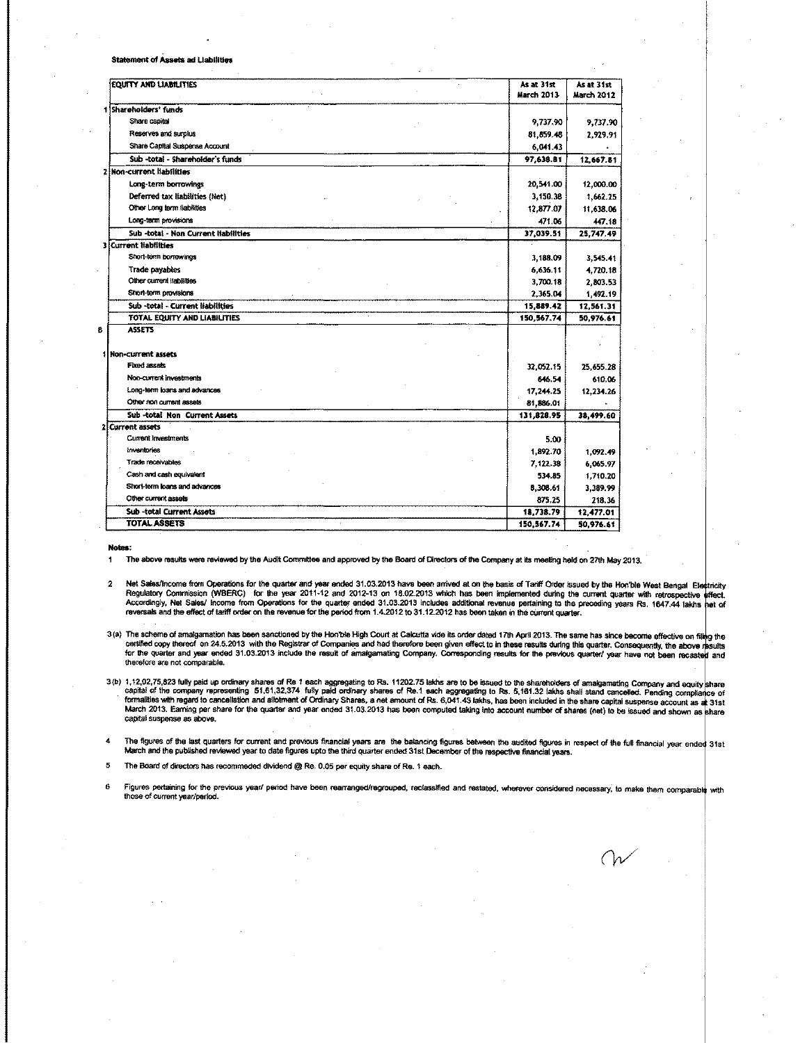Statement of Assets ad Liabilities

| <b>EQUITY AND LIABILITIES</b>        | As at 31st<br>March 2013 | As at 31st<br><b>March 2012</b> |
|--------------------------------------|--------------------------|---------------------------------|
| 1 Shareholders' funds                |                          |                                 |
| Share capital                        | 9,737.90                 | 9,737.90                        |
| Reserves and surplus                 | 81,859.48                | 2,929.91                        |
| Share Capital Suspense Account       | 6,041.43                 |                                 |
| Sub -total - Shareholder's funds     | 97,638.81                | 12,667.81                       |
| Non-current liabilities              |                          |                                 |
| Long-term borrowings                 | 20,541.00                | 12,000.00                       |
| Deferred tax liabilities (Net)       | 3,150.38                 | 1,662.25                        |
| Other Long term liabilities          | 12,877.07                | 11,638.06                       |
| Long-term provisions                 | 471.06                   | 447.18                          |
| Sub -total - Non Current liabilities | 37,039.51                | 25,747.49                       |
| <b>3 Current liabilities</b>         |                          |                                 |
| Short-term borrowings                | 3,188.09                 | 3.545.41                        |
| Trade payables                       | 6,636.11                 | 4.720.18                        |
| Other current liabilities            | 3,700.18                 | 2,803.53                        |
| Short-term provisions                | 2,365.04                 | 1.492.19                        |
| Sub -total - Current liabilities     | 15,889.42                | 12.561.31                       |
| TOTAL EQUITY AND LIABILITIES         | 150,567.74               | 50,976.61                       |
| <b>ASSETS</b>                        |                          |                                 |
| 1 Non-current assets                 |                          |                                 |
| Fixed assets                         | 32,052.15                | 25, 655.28                      |
| Non-current investments              | 646.54                   | 610.06                          |
| Long-term loans and advances         | 17,244.25                | 12.234.26                       |
| Other non current assets             | 81,886.01                |                                 |
| Sub -total Non Current Assets        | 131,828.95               | 38,499.60                       |
| <b>Current assets</b>                |                          |                                 |
| Current investments                  | 5.00                     |                                 |
| inventories                          | 1,892.70                 | 1.092.49                        |
| Trade receivables                    | 7,122.38                 | 6.065.97                        |
| Cash and cash equivalent             | 534.85                   | 1.710.20                        |
| Short-term loans and advances        | 8,308.61                 | 3,389.99                        |
| Other current assets                 | 875.25                   | 218.36                          |
| Sub -total Current Assets            | 18,738.79                | 12,477.01                       |
| <b>TOTAL ASSETS</b>                  | 150,567.74               | 50,976.61                       |

Notes:

The above results were reviewed by the Audit Committee and approved by the Board of Directors of the Company at its meeting held on 27th May 2013.  $\blacksquare$ 

- Met Sales/Income from Operations for the quarter and year ended 31.03.2013 have been arrived at on the basis of Tariff Order issued by the Hon ble West Bengal Ei Reparts of Tariff Order issued by the Hon ble West Bengal Ei reversals and the effect of tariff order on the revenue for the period from 1.4.2012 to 31.12.2012 has been taken in the current quarter.
- 3(a) The scheme of amalgamation has been sanctioned by the Hon'ble High Court at Calcutta vide its order dated 17th April 2013. The same has since become effective on filing the certified copy thereof on 24.5.2013 with the Registrar of Companies and had therefore been given effect to in these results during this quarter. Consequently, the above results for the quarter and year ended 31.03.2013 include the result of amalgamating Company. Corresponding results for the previous quarter/ year have not been recasted and **therefore are not comparable.**
- 3(b) 1,12,02,75,823 fully paid up ordinary shares of Re 1 each aggregating to Rs. 11202.75 lakhs are to be issued to the shareholders of amalgamating Company and equity share<br>capital of the company representing 51,61,32,37 March 2013. Earning per share for the quarter and year ended 31.03.2013 has been computed taking into account number of shares (net) to be issued and shown as share capital suspense as above.

the figures of the last quarters for current and previous financial years are the balancing figures between the audited figures in respect of the full financial year ended 31st December of the respective financial vears.<br>M

5 The Board of directors has recommeded dividend @ Re. 0.05 per equity share of Re. 1 each.

6 Figures pertaining for the previous year/ period have been rearranged/regrouped, reclassified and restated, wherever considered necessary, to make them comparable with those of current year/period.